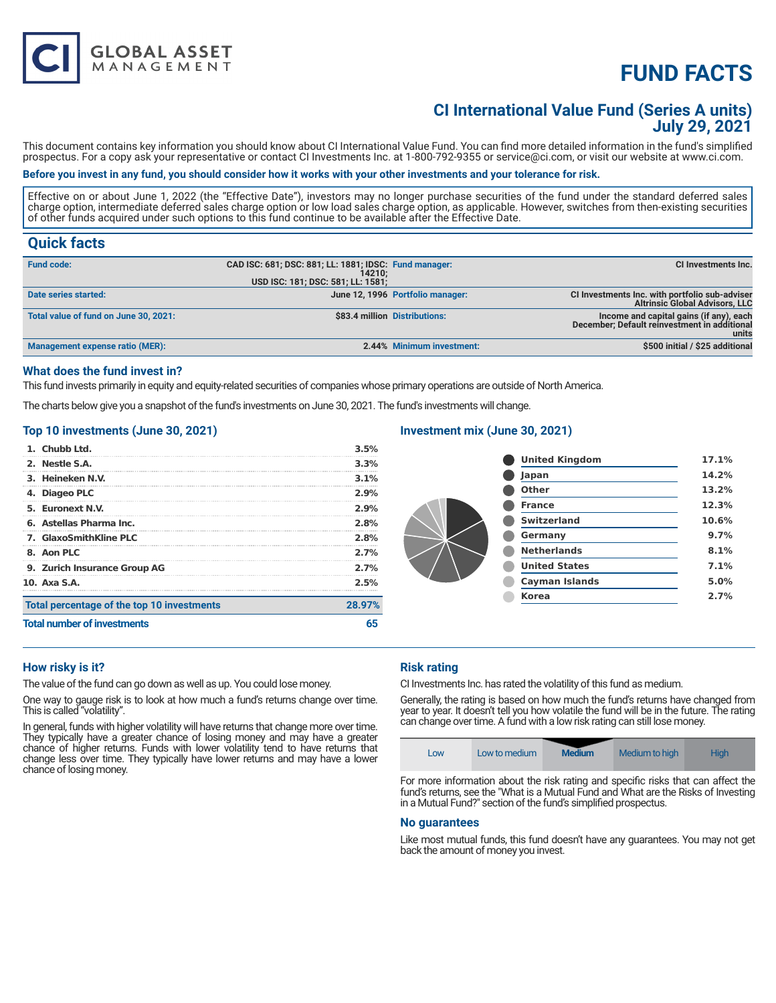# **FUND FACTS**

## **CI International Value Fund (Series A units) July 29, 2021**

This document contains key information you should know about CI International Value Fund. You can find more detailed information in the fund's simplified prospectus. For a copy ask your representative or contact CI Investments Inc. at 1-800-792-9355 or service@ci.com, or visit our website at www.ci.com.

#### **Before you invest in any fund, you should consider how it works with your other investments and your tolerance for risk.**

Effective on or about June 1, 2022 (the "Effective Date"), investors may no longer purchase securities of the fund under the standard deferred sales charge option, intermediate deferred sales charge option or low load sales charge option, as applicable. However, switches from then-existing securities of other funds acquired under such options to this fund continue to be available after the Effective Date.

### **Quick facts**

| <b>Fund code:</b>                     | CAD ISC: 681; DSC: 881; LL: 1881; IDSC: Fund manager:<br>14210: |                                  | CI Investments Inc.                                                                              |
|---------------------------------------|-----------------------------------------------------------------|----------------------------------|--------------------------------------------------------------------------------------------------|
|                                       | USD ISC: 181; DSC: 581; LL: 1581;                               |                                  |                                                                                                  |
| Date series started:                  |                                                                 | June 12, 1996 Portfolio manager: | CI Investments Inc. with portfolio sub-adviser<br><b>Altrinsic Global Advisors, LLC</b>          |
| Total value of fund on June 30, 2021: |                                                                 | \$83.4 million Distributions:    | Income and capital gains (if any), each<br>December; Default reinvestment in additional<br>units |
| Management expense ratio (MER):       |                                                                 | 2.44% Minimum investment:        | \$500 initial / \$25 additional                                                                  |

#### **What does the fund invest in?**

This fund invests primarily in equity and equity-related securities of companies whose primary operations are outside of North America.

The charts below give you a snapshot of the fund's investments on June 30, 2021. The fund's investments will change.

#### **Top 10 investments (June 30, 2021)**

**GLOBAL ASSET**<br>MANAGEMENT

| 1. Chubb Ltd.                              | 3.5%    |
|--------------------------------------------|---------|
| 2. Nestle S.A.                             | 3.3%    |
| 3. Heineken N.V.                           | $3.1\%$ |
| 4. Diageo PLC                              | $2.9\%$ |
| 5. Euronext N.V.                           | 2.9%    |
| 6. Astellas Pharma Inc.                    | 2.8%    |
| <b>7. GlaxoSmithKline PLC</b>              | 2.8%    |
| 8. Aon PLC                                 | 2.7%    |
| 9. Zurich Insurance Group AG               | 2.7%    |
| 10. Axa S.A.                               | 2.5%    |
| Total percentage of the top 10 investments | 28.97%  |
| <b>Total number of investments</b>         |         |

#### **Investment mix (June 30, 2021)**

| <b>United Kingdom</b> | 17.1% |
|-----------------------|-------|
| Japan                 | 14.2% |
| Other                 | 13.2% |
| <b>France</b>         | 12.3% |
| <b>Switzerland</b>    | 10.6% |
| Germany               | 9.7%  |
| <b>Netherlands</b>    | 8.1%  |
| <b>United States</b>  | 7.1%  |
| <b>Cayman Islands</b> | 5.0%  |
| <b>Korea</b>          | 2.7%  |
|                       |       |

#### **How risky is it?**

The value of the fund can go down as well as up. You could lose money.

One way to gauge risk is to look at how much a fund's returns change over time. This is called "volatility".

In general, funds with higher volatility will have returns that change more over time. They typically have a greater chance of losing money and may have a greater chance of higher returns. Funds with lower volatility tend to have returns that change less over time. They typically have lower returns and may have a lower chance of losing money.

### **Risk rating**

CI Investments Inc. has rated the volatility of this fund as medium.

Generally, the rating is based on how much the fund's returns have changed from year to year. It doesn't tell you how volatile the fund will be in the future. The rating can change over time. A fund with a low risk rating can still lose money.



For more information about the risk rating and specific risks that can affect the fund's returns, see the "What is a Mutual Fund and What are the Risks of Investing in a Mutual Fund?" section of the fund's simplified prospectus.

#### **No guarantees**

Like most mutual funds, this fund doesn't have any guarantees. You may not get back the amount of money you invest.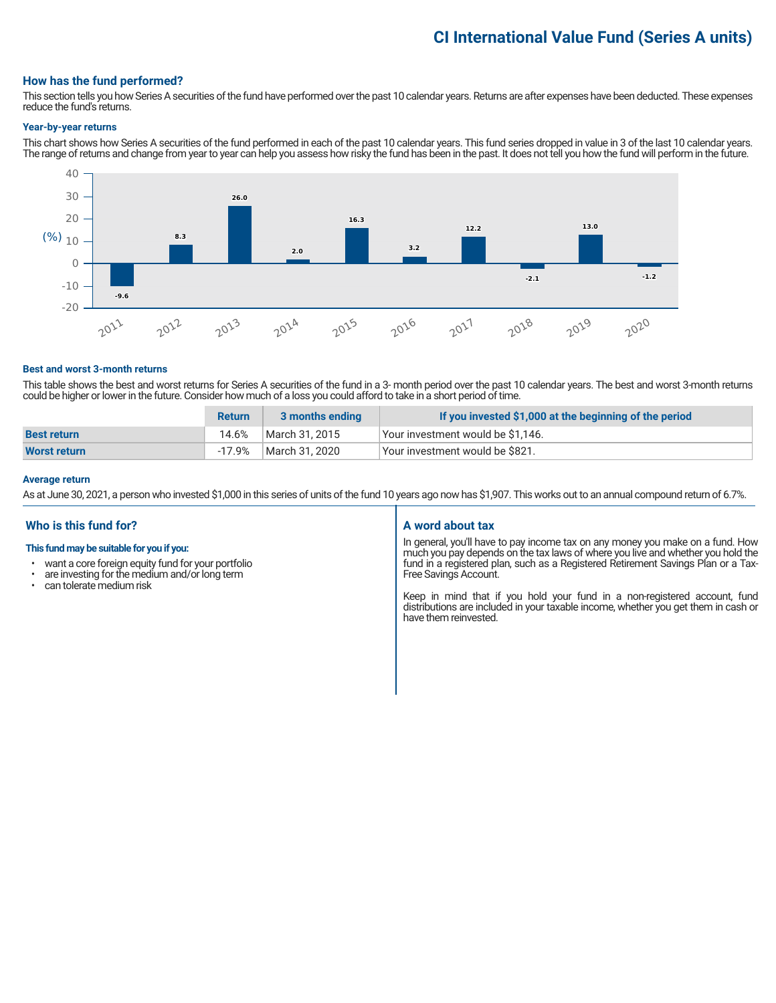# **CI International Value Fund (Series A units)**

#### **How has the fund performed?**

This section tells you how Series A securities of the fund have performed over the past 10 calendar years. Returns are after expenses have been deducted. These expenses reduce the fund's returns.

#### **Year-by-year returns**

This chart shows how Series A securities of the fund performed in each of the past 10 calendar years. This fund series dropped in value in 3 of the last 10 calendar years. The range of returns and change from year to year can help you assess how risky the fund has been in the past. It does not tell you how the fund will perform in the future.



#### **Best and worst 3-month returns**

This table shows the best and worst returns for Series A securities of the fund in a 3- month period over the past 10 calendar years. The best and worst 3-month returns could be higher or lower in the future. Consider how much of a loss you could afford to take in a short period of time.

|                     | <b>Return</b> | 3 months ending | If you invested \$1,000 at the beginning of the period |
|---------------------|---------------|-----------------|--------------------------------------------------------|
| <b>Best return</b>  | 14.6%         | March 31, 2015  | Vour investment would be \$1,146.                      |
| <b>Worst return</b> | -17.9%        | March 31. 2020  | Vour investment would be \$821.                        |

#### **Average return**

As at June 30, 2021, a person who invested \$1,000 in this series of units of the fund 10 years ago now has \$1,907. This works out to an annual compound return of 6.7%.

### **Who is this fund for?**

#### **This fund may be suitable for you if you:**

- want a core foreign equity fund for your portfolio<br>• are investing for the medium and/or long term
- $\cdot$  are investing for the medium and/or long term  $\cdot$  can telerate medium risk
- can tolerate medium risk

#### **A word about tax**

In general, you'll have to pay income tax on any money you make on a fund. How much you pay depends on the tax laws of where you live and whether you hold the fund in a registered plan, such as a Registered Retirement Savings Plan or a Tax-Free Savings Account.

Keep in mind that if you hold your fund in a non-registered account, fund distributions are included in your taxable income, whether you get them in cash or have them reinvested.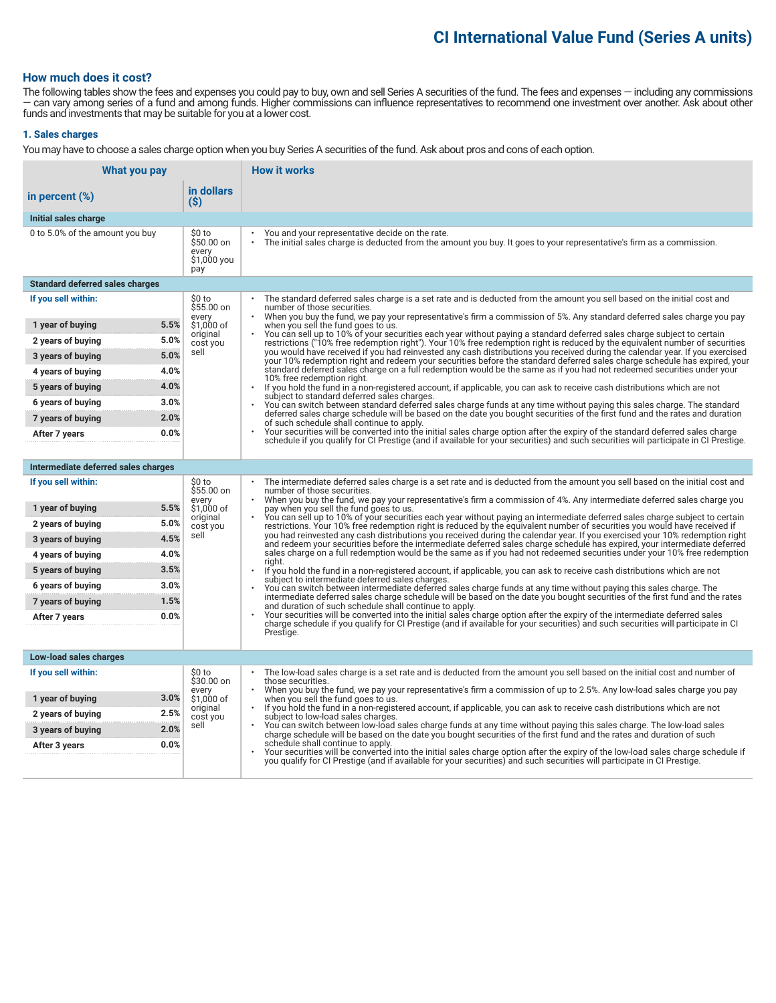# **CI International Value Fund (Series A units)**

### **How much does it cost?**

The following tables show the fees and expenses you could pay to buy, own and sell Series A securities of the fund. The fees and expenses — including any commissions — can vary among series of a fund and among funds. Higher commissions can influence representatives to recommend one investment over another. Ask about other funds and investments that may be suitable for you at a lower cost.

#### **1. Sales charges**

You may have to choose a sales charge option when you buy Series A securities of the fund. Ask about pros and cons of each option.

| What you pay                                  |                                                     | <b>How it works</b>                                                                                                                                                                                                                                                                                                         |  |
|-----------------------------------------------|-----------------------------------------------------|-----------------------------------------------------------------------------------------------------------------------------------------------------------------------------------------------------------------------------------------------------------------------------------------------------------------------------|--|
| in percent $(\%)$                             | in dollars<br>(S)                                   |                                                                                                                                                                                                                                                                                                                             |  |
| Initial sales charge                          |                                                     |                                                                                                                                                                                                                                                                                                                             |  |
| 0 to 5.0% of the amount you buy               | \$0 to<br>\$50.00 on<br>every<br>\$1,000 you<br>pay | You and your representative decide on the rate.<br>The initial sales charge is deducted from the amount you buy. It goes to your representative's firm as a commission.                                                                                                                                                     |  |
| <b>Standard deferred sales charges</b>        |                                                     |                                                                                                                                                                                                                                                                                                                             |  |
| If you sell within:                           | \$0 to<br>\$55.00 on<br>every                       | The standard deferred sales charge is a set rate and is deducted from the amount you sell based on the initial cost and<br>number of those securities.<br>When you buy the fund, we pay your representative's firm a commission of 5%. Any standard deferred sales charge you pay                                           |  |
| 5.5%<br>1 year of buying                      | \$1,000 of                                          | when you sell the fund goes to us.                                                                                                                                                                                                                                                                                          |  |
| 5.0%<br>2 years of buying                     | original<br>cost you                                | You can sell up to 10% of your securities each year without paying a standard deferred sales charge subject to certain<br>restrictions ("10% free redemption right"). Your 10% free redemption right is reduced by the equivalent number of securities                                                                      |  |
| 5.0%<br>3 years of buying                     | sell                                                | you would have received if you had reinvested any cash distributions you received during the calendar year. If you exercised<br>your 10% redemption right and redeem your securities before the standard deferred sales charge schedule has expired, your                                                                   |  |
| 4.0%<br>4 years of buying                     |                                                     | standard deferred sales charge on a full redemption would be the same as if you had not redeemed securities under your<br>10% free redemption right.                                                                                                                                                                        |  |
| 4.0%<br>5 years of buying                     |                                                     | $\bullet$<br>If you hold the fund in a non-registered account, if applicable, you can ask to receive cash distributions which are not<br>subject to standard deferred sales charges.                                                                                                                                        |  |
| 3.0%<br>6 years of buying                     |                                                     | You can switch between standard deferred sales charge funds at any time without paying this sales charge. The standard                                                                                                                                                                                                      |  |
| 2.0%<br>7 years of buying                     |                                                     | deferred sales charge schedule will be based on the date you bought securities of the first fund and the rates and duration<br>of such schedule shall continue to apply.                                                                                                                                                    |  |
| 0.0%<br>After 7 years                         |                                                     | Your securities will be converted into the initial sales charge option after the expiry of the standard deferred sales charge<br>schedule if you qualify for CI Prestige (and if available for your securities) and such securities will participate in CI Prestige.                                                        |  |
|                                               |                                                     |                                                                                                                                                                                                                                                                                                                             |  |
| Intermediate deferred sales charges           |                                                     |                                                                                                                                                                                                                                                                                                                             |  |
| If you sell within:                           | \$0 to<br>\$55.00 on<br>every                       | The intermediate deferred sales charge is a set rate and is deducted from the amount you sell based on the initial cost and<br>number of those securities.<br>When you buy the fund, we pay your representative's firm a commission of 4%. Any intermediate deferred sales charge you                                       |  |
| 5.5%<br>1 year of buying                      | \$1.000 of<br>original                              | pay when you sell the fund goes to us.<br>You can sell up to 10% of your securities each year without paying an intermediate deferred sales charge subject to certain                                                                                                                                                       |  |
| 5.0%<br>2 years of buying                     | cost you                                            | restrictions. Your 10% free redemption right is reduced by the equivalent number of securities you would have received if                                                                                                                                                                                                   |  |
| 4.5%<br>3 years of buying                     | sell                                                | you had reinvested any cash distributions you received during the calendar year. If you exercised your 10% redemption right<br>and redeem your securities before the intermediate deferred sales charge schedule has expired, your intermediate deferred                                                                    |  |
| 4.0%<br>4 years of buying                     |                                                     | sales charge on a full redemption would be the same as if you had not redeemed securities under your 10% free redemption<br>riaht.                                                                                                                                                                                          |  |
| 3.5%<br>5 years of buying                     |                                                     | If you hold the fund in a non-registered account, if applicable, you can ask to receive cash distributions which are not<br>subject to intermediate deferred sales charges.                                                                                                                                                 |  |
| 3.0%<br>6 years of buying                     |                                                     | You can switch between intermediate deferred sales charge funds at any time without paying this sales charge. The<br>intermediate deferred sales charge schedule will be based on the date you bought securities of the first fund and the rates                                                                            |  |
| 1.5%<br>7 years of buying                     |                                                     | and duration of such schedule shall continue to apply.                                                                                                                                                                                                                                                                      |  |
| 0.0%<br>After 7 years                         |                                                     | Your securities will be converted into the initial sales charge option after the expiry of the intermediate deferred sales<br>charge schedule if you qualify for CI Prestige (and if available for your securities) and such securities will participate in CI                                                              |  |
|                                               |                                                     | Prestige.                                                                                                                                                                                                                                                                                                                   |  |
| Low-load sales charges                        |                                                     |                                                                                                                                                                                                                                                                                                                             |  |
| If you sell within:                           | \$0 to<br>\$30.00 on                                | The low-load sales charge is a set rate and is deducted from the amount you sell based on the initial cost and number of<br>those securities.                                                                                                                                                                               |  |
| 3.0%                                          | every<br>\$1,000 of                                 | When you buy the fund, we pay your representative's firm a commission of up to 2.5%. Any low-load sales charge you pay                                                                                                                                                                                                      |  |
| 1 year of buying<br>2.5%<br>2 years of buying | original                                            | when you sell the fund goes to us.<br>If you hold the fund in a non-registered account, if applicable, you can ask to receive cash distributions which are not<br>subject to low-load sales charges.<br>You can switch between low-load sales charge funds at any time without paying this sales charge. The low-load sales |  |
| 2.0%<br>3 years of buying                     | cost you<br>sell                                    |                                                                                                                                                                                                                                                                                                                             |  |
| 0.0%<br>After 3 years                         |                                                     | charge schedule will be based on the date you bought securities of the first fund and the rates and duration of such<br>schedule shall continue to apply.                                                                                                                                                                   |  |
|                                               |                                                     | Your securities will be converted into the initial sales charge option after the expiry of the low-load sales charge schedule if<br>you qualify for CI Prestige (and if available for your securities) and such securities will participate in CI Prestige.                                                                 |  |